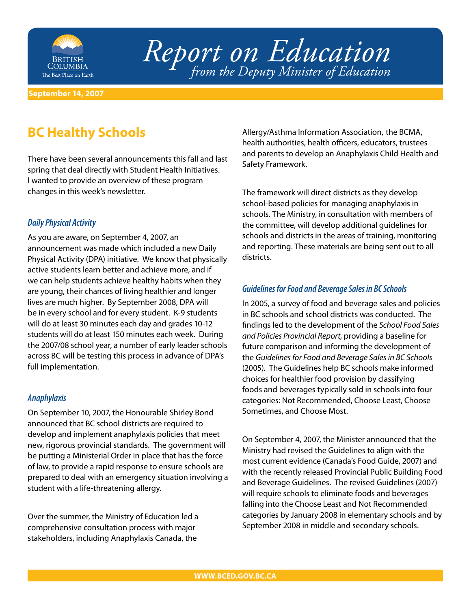

# *Report on Education from the Deputy Minister of Education*

#### **September 14, 2007**

# **BC Healthy Schools**

There have been several announcements this fall and last spring that deal directly with Student Health Initiatives. I wanted to provide an overview of these program changes in this week's newsletter.

#### **Daily Physical Activity**

As you are aware, on September 4, 2007, an announcement was made which included a new Daily Physical Activity (DPA) initiative. We know that physically active students learn better and achieve more, and if we can help students achieve healthy habits when they are young, their chances of living healthier and longer lives are much higher. By September 2008, DPA will be in every school and for every student. K-9 students will do at least 30 minutes each day and grades 10-12 students will do at least 150 minutes each week. During the 2007/08 school year, a number of early leader schools across BC will be testing this process in advance of DPA's full implementation.

#### **Anaphylaxis**

On September 10, 2007, the Honourable Shirley Bond announced that BC school districts are required to develop and implement anaphylaxis policies that meet new, rigorous provincial standards. The government will be putting a Ministerial Order in place that has the force of law, to provide a rapid response to ensure schools are prepared to deal with an emergency situation involving a student with a life-threatening allergy.

Over the summer, the Ministry of Education led a comprehensive consultation process with major stakeholders, including Anaphylaxis Canada, the

Allergy/Asthma Information Association, the BCMA, health authorities, health officers, educators, trustees and parents to develop an Anaphylaxis Child Health and Safety Framework.

The framework will direct districts as they develop school-based policies for managing anaphylaxis in schools. The Ministry, in consultation with members of the committee, will develop additional guidelines for schools and districts in the areas of training, monitoring and reporting. These materials are being sent out to all districts.

#### **Guidelines for Food and Beverage Sales in BC Schools**

In 2005, a survey of food and beverage sales and policies in BC schools and school districts was conducted. The findings led to the development of the School Food Sales and Policies Provincial Report, providing a baseline for future comparison and informing the development of the Guidelines for Food and Beverage Sales in BC Schools (2005). The Guidelines help BC schools make informed choices for healthier food provision by classifying foods and beverages typically sold in schools into four categories: Not Recommended, Choose Least, Choose Sometimes, and Choose Most.

On September 4, 2007, the Minister announced that the Ministry had revised the Guidelines to align with the most current evidence (Canada's Food Guide, 2007) and with the recently released Provincial Public Building Food and Beverage Guidelines. The revised Guidelines (2007) will require schools to eliminate foods and beverages falling into the Choose Least and Not Recommended categories by January 2008 in elementary schools and by September 2008 in middle and secondary schools.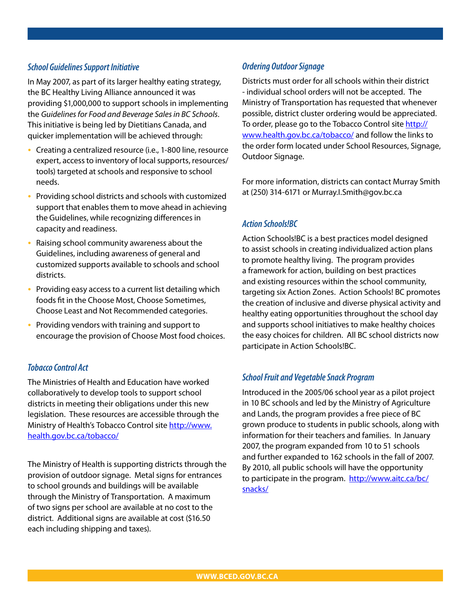#### **School Guidelines Support Initiative**

In May 2007, as part of its larger healthy eating strategy, the BC Healthy Living Alliance announced it was providing \$1,000,000 to support schools in implementing the Guidelines for Food and Beverage Sales in BC Schools. This initiative is being led by Dietitians Canada, and quicker implementation will be achieved through:

- Creating a centralized resource (i.e., 1-800 line, resource expert, access to inventory of local supports, resources/ tools) targeted at schools and responsive to school needs.
- Providing school districts and schools with customized support that enables them to move ahead in achieving the Guidelines, while recognizing differences in capacity and readiness. •
- Raising school community awareness about the Guidelines, including awareness of general and customized supports available to schools and school districts. •
- Providing easy access to a current list detailing which foods fit in the Choose Most, Choose Sometimes, Choose Least and Not Recommended categories.
- Providing vendors with training and support to encourage the provision of Choose Most food choices. •

#### **Tobacco Control Act**

The Ministries of Health and Education have worked collaboratively to develop tools to support school districts in meeting their obligations under this new legislation. These resources are accessible through the [Ministry of Health's Tobacco Control site http://www.](http://www.health.gov.bc.ca/tobacco/) health.gov.bc.ca/tobacco/

The Ministry of Health is supporting districts through the provision of outdoor signage. Metal signs for entrances to school grounds and buildings will be available through the Ministry of Transportation. A maximum of two signs per school are available at no cost to the district. Additional signs are available at cost (\$16.50 each including shipping and taxes).

## **Ordering Outdoor Signage**

Districts must order for all schools within their district - individual school orders will not be accepted. The Ministry of Transportation has requested that whenever possible, district cluster ordering would be appreciated. To order, please go to the Tobacco Control site http:// www.health.gov.bc.ca/tobacco/ and follow the links to the order form located under School Resources, Signage, Outdoor Signage.

For more information, districts can contact Murray Smith at (250) 314-6171 or Murray.I.Smith@gov.bc.ca

## **Action Schools!BC**

Action Schools!BC is a best practices model designed to assist schools in creating individualized action plans to promote healthy living. The program provides a framework for action, building on best practices and existing resources within the school community, targeting six Action Zones. Action Schools! BC promotes the creation of inclusive and diverse physical activity and healthy eating opportunities throughout the school day and supports school initiatives to make healthy choices the easy choices for children. All BC school districts now participate in Action Schools!BC.

## **School Fruit and Vegetable Snack Program**

Introduced in the 2005/06 school year as a pilot project in 10 BC schools and led by the Ministry of Agriculture and Lands, the program provides a free piece of BC grown produce to students in public schools, along with information for their teachers and families. In January 2007, the program expanded from 10 to 51 schools and further expanded to 162 schools in the fall of 2007. By 2010, all public schools will have the opportunity to participate in the program. http://www.aitc.ca/bc/ snacks/